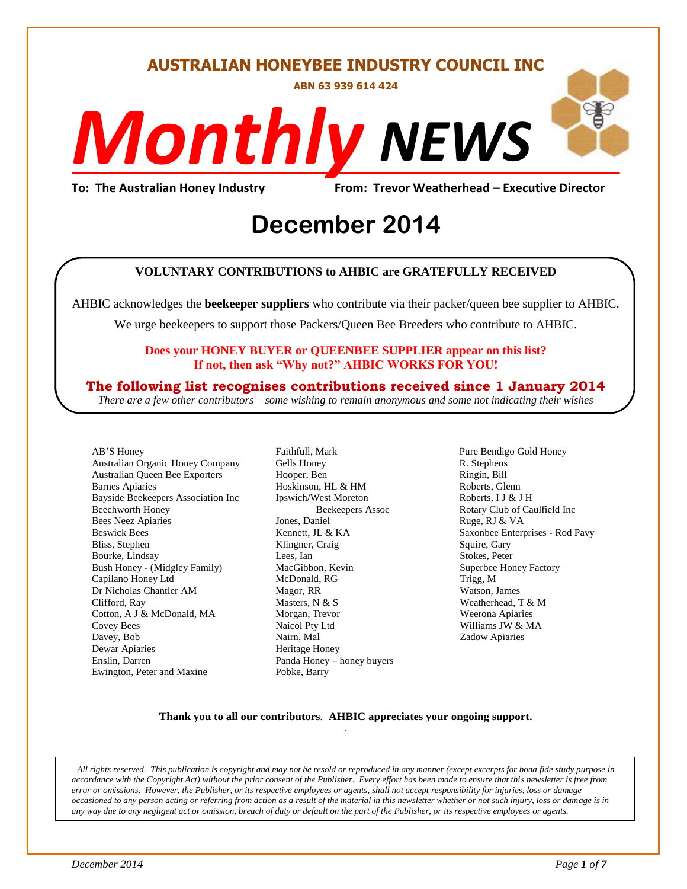# **AUSTRALIAN HONEYBEE INDUSTRY COUNCIL INC**

**ABN 63 939 614 424**

# *NEWS Monthly*

**To: The Australian Honey Industry From: Trevor Weatherhead – Executive Director**

# Erom: Trevor Weathe<br>
December 2014

# **VOLUNTARY CONTRIBUTIONS to AHBIC are GRATEFULLY RECEIVED**

AHBIC acknowledges the **beekeeper suppliers** who contribute via their packer/queen bee supplier to AHBIC.

We urge beekeepers to support those Packers/Queen Bee Breeders who contribute to AHBIC.

# **Does your HONEY BUYER or QUEENBEE SUPPLIER appear on this list? If not, then ask "Why not?" AHBIC WORKS FOR YOU!**

# **The following list recognises contributions received since 1 January 2014**

*There are a few other contributors – some wishing to remain anonymous and some not indicating their wishes*

AB'S Honey Australian Organic Honey Company Australian Queen Bee Exporters Barnes Apiaries Bayside Beekeepers Association Inc Beechworth Honey Bees Neez Apiaries Beswick Bees Bliss, Stephen Bourke, Lindsay Bush Honey - (Midgley Family) Capilano Honey Ltd Dr Nicholas Chantler AM Clifford, Ray Cotton, A J & McDonald, MA Covey Bees Davey, Bob Dewar Apiaries Enslin, Darren Ewington, Peter and Maxine

Faithfull, Mark Gells Honey Hooper, Ben Hoskinson, HL & HM Ipswich/West Moreton Beekeepers Assoc Jones, Daniel Kennett, JL & KA Klingner, Craig Lees, Ian MacGibbon, Kevin McDonald, RG Magor, RR Masters, N & S Morgan, Trevor Naicol Pty Ltd Nairn, Mal Heritage Honey Panda Honey – honey buyers Pobke, Barry

Pure Bendigo Gold Honey R. Stephens Ringin, Bill Roberts, Glenn Roberts, I J & J H Rotary Club of Caulfield Inc Ruge, RJ & VA Saxonbee Enterprises - Rod Pavy Squire, Gary Stokes, Peter Superbee Honey Factory Trigg, M Watson, James Weatherhead, T & M Weerona Apiaries Williams JW & MA Zadow Apiaries

# **Thank you to all our contributors***.* **AHBIC appreciates your ongoing support.** .

*All rights reserved. This publication is copyright and may not be resold or reproduced in any manner (except excerpts for bona fide study purpose in accordance with the Copyright Act) without the prior consent of the Publisher. Every effort has been made to ensure that this newsletter is free from error or omissions. However, the Publisher, or its respective employees or agents, shall not accept responsibility for injuries, loss or damage occasioned to any person acting or referring from action as a result of the material in this newsletter whether or not such injury, loss or damage is in any way due to any negligent act or omission, breach of duty or default on the part of the Publisher, or its respective employees or agents.*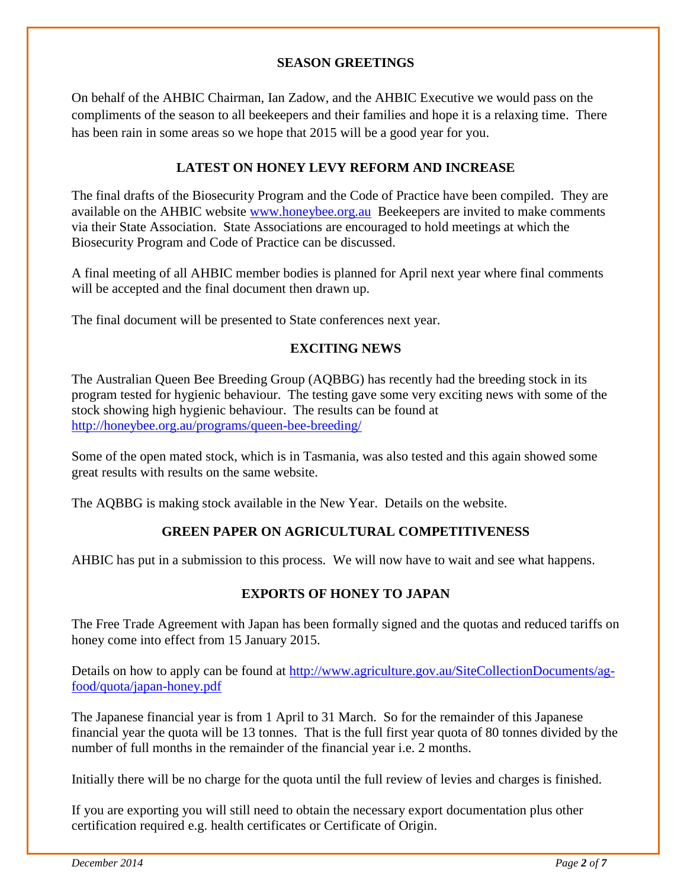# **SEASON GREETINGS**

On behalf of the AHBIC Chairman, Ian Zadow, and the AHBIC Executive we would pass on the compliments of the season to all beekeepers and their families and hope it is a relaxing time. There has been rain in some areas so we hope that 2015 will be a good year for you.

# **LATEST ON HONEY LEVY REFORM AND INCREASE**

The final drafts of the Biosecurity Program and the Code of Practice have been compiled. They are available on the AHBIC website [www.honeybee.org.au](http://www.honeybee.org.au/) Beekeepers are invited to make comments via their State Association. State Associations are encouraged to hold meetings at which the Biosecurity Program and Code of Practice can be discussed.

A final meeting of all AHBIC member bodies is planned for April next year where final comments will be accepted and the final document then drawn up.

The final document will be presented to State conferences next year.

# **EXCITING NEWS**

The Australian Queen Bee Breeding Group (AQBBG) has recently had the breeding stock in its program tested for hygienic behaviour. The testing gave some very exciting news with some of the stock showing high hygienic behaviour. The results can be found at <http://honeybee.org.au/programs/queen-bee-breeding/>

Some of the open mated stock, which is in Tasmania, was also tested and this again showed some great results with results on the same website.

The AQBBG is making stock available in the New Year. Details on the website.

# **GREEN PAPER ON AGRICULTURAL COMPETITIVENESS**

AHBIC has put in a submission to this process. We will now have to wait and see what happens.

# **EXPORTS OF HONEY TO JAPAN**

The Free Trade Agreement with Japan has been formally signed and the quotas and reduced tariffs on honey come into effect from 15 January 2015.

Details on how to apply can be found at [http://www.agriculture.gov.au/SiteCollectionDocuments/ag](http://www.agriculture.gov.au/SiteCollectionDocuments/ag-food/quota/japan-honey.pdf)[food/quota/japan-honey.pdf](http://www.agriculture.gov.au/SiteCollectionDocuments/ag-food/quota/japan-honey.pdf)

The Japanese financial year is from 1 April to 31 March. So for the remainder of this Japanese financial year the quota will be 13 tonnes. That is the full first year quota of 80 tonnes divided by the number of full months in the remainder of the financial year i.e. 2 months.

Initially there will be no charge for the quota until the full review of levies and charges is finished.

If you are exporting you will still need to obtain the necessary export documentation plus other certification required e.g. health certificates or Certificate of Origin.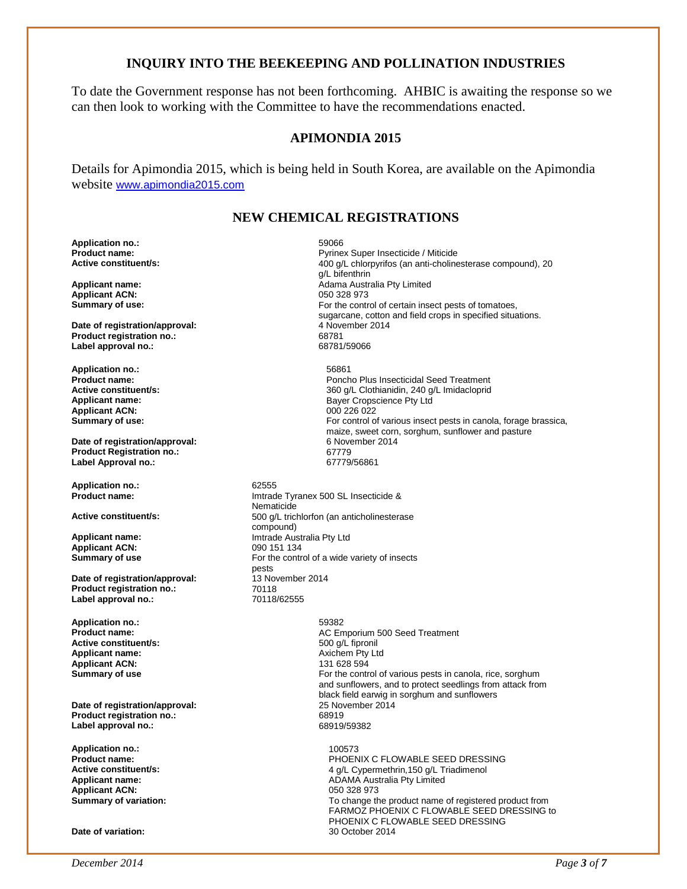# **INQUIRY INTO THE BEEKEEPING AND POLLINATION INDUSTRIES**

To date the Government response has not been forthcoming. AHBIC is awaiting the response so we can then look to working with the Committee to have the recommendations enacted.

# **APIMONDIA 2015**

Details for Apimondia 2015, which is being held in South Korea, are available on the Apimondia website [www.apimondia2015.com](http://www.apimondia2015.com/)

# **NEW CHEMICAL REGISTRATIONS**

**Application no.:** 59066

**Applicant ACN:**<br>Summary of use:

**Date of registration/approval:** 4 November 2014 1 A November 2014 1 A November 2014 1 A November 2014 1 A November 2014 1 A November 2014 1 A November 2014 1 A November 2014 1 A November 2014 1 A November 2014 1 A Novembe **Product registration no.:** 68781 Label approval no.:

**Application no.:** 56861<br>**Product name: CONSERVING PRODUCT AND PRODUCT PRODUCT Applicant ACN:**<br>Summary of use:

**Date of registration/approval:** 6 November 2014<br> **Product Registration no:** 67779 **Product Registration no.:** 67779 **Label Approval no.:** 

**Application no.:** 62555

**Applicant ACN:**<br>Summary of use

**Date of registration/approval:** 13 November 2014<br>Product registration no : 10118 **Product registration no.:** 70118<br>
Label approval no.: 70118/62555 Label approval no.:

**Application no.:** 59382 **Active constituent/s:**  $\begin{array}{ccc} 500 \text{ g/L} & \text{fipronil} \\ \text{Application} & \text{name:} \end{array}$ **Applicant ACN:**<br>Summary of use

**Date of registration/approval:** 25 November 2015<br> **Product registration no.:** 68919 **Product registration no.:** 68919 Label approval no.:

**Application no.:** 100573 **Applicant ACN:** Summary of variation:

**Product name:** Pyrinex Super Insecticide / Miticide **Active constituent/s:** 400 g/L chlorpyrifos (an anti-cholinesterase compound), 20 g/L bifenthrin **Applicant name: Adama Australia Pty Limited Australia Pty Limited Australia Pty Limited Applicant ACN:** For the control of certain insect pests of tomatoes, sugarcane, cotton and field crops in specified situations.<br>4 November 2014

**Product name: Product name: Product name: Product name: Product name: Product name: Product name: Product name: Product name: Product name: Product name: Product name: Product name: Product name: Active constituent/s:** <br>**360 g/L Clothianidin, 240 g/L Imidacloprid**<br>**380 g/L Clothianidin, 240 g/L Imidacloprid**<br>**Baver Cropscience Ptv Ltd** Bayer Cropscience Pty Ltd<br>000 226 022 For control of various insect pests in canola, forage brassica, maize, sweet corn, sorghum, sunflower and pasture 6 November 2014

**Imtrade Tyranex 500 SL Insecticide &** Nematicide Active constituent/s: **Active constituent/s:** 500 g/L trichlorfon (an anticholinesterase compound) **Applicant name:** Imtrade Australia Pty Ltd For the control of a wide variety of insects pests<br>13 November 2014

> **AC Emporium 500 Seed Treatment** Axichem Pty Ltd<br>131 628 594 For the control of various pests in canola, rice, sorghum and sunflowers, and to protect seedlings from attack from black field earwig in sorghum and sunflowers<br>25 November 2014

PHOENIX C FLOWABLE SEED DRESSING **Active constituent/s:** <br> **Abolicant name:** <br> **ADAMA Australia Ptv Limited**<br> **ADAMA Australia Ptv Limited** ADAMA Australia Pty Limited<br>050 328 973 To change the product name of registered product from FARMOZ PHOENIX C FLOWABLE SEED DRESSING to PHOENIX C FLOWABLE SEED DRESSING Date of variation: **Date of variation:** 30 October 2014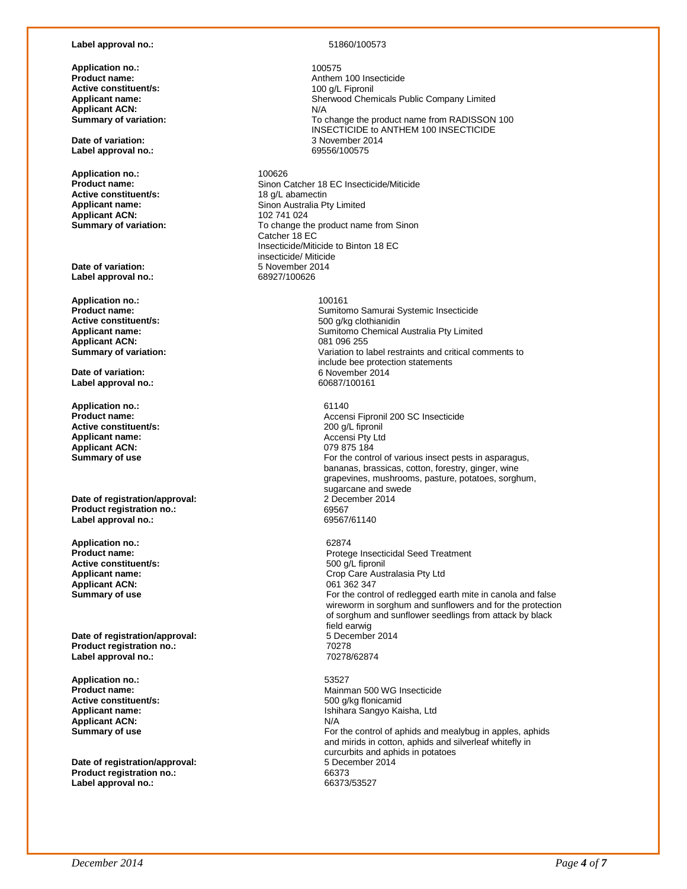## **Label approval no.:** 51860/100573

**Application no.: Product name: Active constituent/s: Applicant name: Applicant ACN:**<br>Summary of variation:

**Date of variation:** 3 November 2014 **Label approval no.:** 

**Application no.:** 200626<br> **Product name:** 200626 **Active constituent/s:**<br>Applicant name: **Applicant ACN:**<br>Summary of variation:

**Date of variation:** <br> **1** abel approval no: <br>
68927/100626 Label approval no.:

**Application no.:** 100161 **Active constituent/s:**  $\begin{array}{ccc} 500 \frac{g}{kg} \text{chianidin} \\ 500 \frac{g}{kg} \text{chianidin} \end{array}$ **Applicant ACN:**<br>Summary of variation:

**Date of variation:** 6 November 2014 **Label approval no.:** 

**Application no.:** 61140<br>**Product name:** Accens **Active constituent/s: Applicant name:**  $\begin{array}{ccc}\n\bullet & \bullet & \bullet & \bullet & \bullet \\
\bullet & \bullet & \bullet & \bullet & \bullet & \bullet \\
\bullet & \bullet & \bullet & \bullet & \bullet & \bullet \\
\bullet & \bullet & \bullet & \bullet & \bullet & \bullet \\
\bullet & \bullet & \bullet & \bullet & \bullet & \bullet\n\end{array}$ **Applicant ACN:**<br>Summary of use

**Date of registration/approval:** 2 December 2014<br> **Product registration no.:** 2014 **Product registration no.:** 69567 **Label approval no.:** 

**Application no.:** 62874<br>**Product name: CONSERVING PRODUCT ASSESS Active constituent/s:**<br>Applicant name: Applicant ACN:

**Date of registration/approval:** 5 December 2014<br> **Product registration no.:** 70278 **Product registration no.: Label approval no.:** 70278/62874

**Application no.:** 53527 **Applicant ACN:**<br>Summary of use

**Date of registration/approval: Product registration no.:** 66373 Label approval no.:

100575 Anthem 100 Insecticide 100 g/L Fipronil Sherwood Chemicals Public Company Limited<br>N/A To change the product name from RADISSON 100 INSECTICIDE to ANTHEM 100 INSECTICIDE<br>3 November 2014

Sinon Catcher 18 EC Insecticide/Miticide<br>18 g/L abamectin Sinon Australia Pty Limited<br>102 741 024 To change the product name from Sinon Catcher 18 EC Insecticide/Miticide to Binton 18 EC insecticide/ Miticide<br>5 November 2014

**Product name: Product name: Sumitomo Samurai Systemic Insecticide**<br> **Active constituent/s: SOO o/kg** clothianidin Sumitomo Chemical Australia Pty Limited<br>081 096 255 **Summary of variation:** Variation to label restraints and critical comments to include bee protection statements

Accensi Fipronil 200 SC Insecticide<br>200 g/L fipronil For the control of various insect pests in asparagus, bananas, brassicas, cotton, forestry, ginger, wine grapevines, mushrooms, pasture, potatoes, sorghum, sugarcane and swede<br>2 December 2014

Protege Insecticidal Seed Treatment<br>500 g/L fipronil Crop Care Australasia Pty Ltd<br>061 362 347 **Summary of use For the control of redlegged earth mite in canola and false For the control of redlegged earth mite in canola and false** wireworm in sorghum and sunflowers and for the protection of sorghum and sunflower seedlings from attack by black field earwig<br>5 December 2014

**Product name:** Mainman 500 WG Insecticide **Active constituent/s:** 500 g/kg flonicamid **Applicant name:** Ishihara Sangyo Kaisha, Ltd For the control of aphids and mealybug in apples, aphids and mirids in cotton, aphids and silverleaf whitefly in curcurbits and aphids in potatoes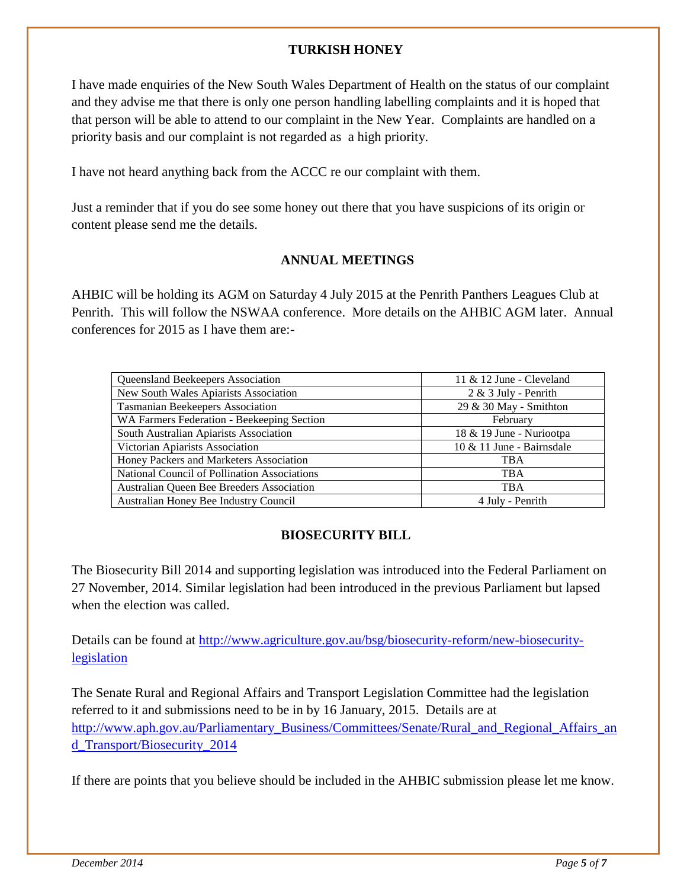# **TURKISH HONEY**

I have made enquiries of the New South Wales Department of Health on the status of our complaint and they advise me that there is only one person handling labelling complaints and it is hoped that that person will be able to attend to our complaint in the New Year. Complaints are handled on a priority basis and our complaint is not regarded as a high priority.

I have not heard anything back from the ACCC re our complaint with them.

Just a reminder that if you do see some honey out there that you have suspicions of its origin or content please send me the details.

# **ANNUAL MEETINGS**

AHBIC will be holding its AGM on Saturday 4 July 2015 at the Penrith Panthers Leagues Club at Penrith. This will follow the NSWAA conference. More details on the AHBIC AGM later. Annual conferences for 2015 as I have them are:-

| Queensland Beekeepers Association            | 11 $&$ 12 June - Cleveland |  |  |
|----------------------------------------------|----------------------------|--|--|
| New South Wales Apiarists Association        | $2 \& 3$ July - Penrith    |  |  |
| Tasmanian Beekeepers Association             | 29 & 30 May - Smithton     |  |  |
| WA Farmers Federation - Beekeeping Section   | February                   |  |  |
| South Australian Apiarists Association       | 18 & 19 June - Nuriootpa   |  |  |
| Victorian Apiarists Association              | 10 & 11 June - Bairnsdale  |  |  |
| Honey Packers and Marketers Association      | <b>TBA</b>                 |  |  |
| National Council of Pollination Associations | <b>TBA</b>                 |  |  |
| Australian Queen Bee Breeders Association    | <b>TBA</b>                 |  |  |
| Australian Honey Bee Industry Council        | 4 July - Penrith           |  |  |
|                                              |                            |  |  |

# **BIOSECURITY BILL**

The Biosecurity Bill 2014 and supporting legislation was introduced into the Federal Parliament on 27 November, 2014. Similar legislation had been introduced in the previous Parliament but lapsed when the election was called.

Details can be found at [http://www.agriculture.gov.au/bsg/biosecurity-reform/new-biosecurity](http://www.agriculture.gov.au/bsg/biosecurity-reform/new-biosecurity-legislation)[legislation](http://www.agriculture.gov.au/bsg/biosecurity-reform/new-biosecurity-legislation)

The Senate Rural and Regional Affairs and Transport Legislation Committee had the legislation referred to it and submissions need to be in by 16 January, 2015. Details are at [http://www.aph.gov.au/Parliamentary\\_Business/Committees/Senate/Rural\\_and\\_Regional\\_Affairs\\_an](http://www.aph.gov.au/Parliamentary_Business/Committees/Senate/Rural_and_Regional_Affairs_and_Transport/Biosecurity_2014) [d\\_Transport/Biosecurity\\_2014](http://www.aph.gov.au/Parliamentary_Business/Committees/Senate/Rural_and_Regional_Affairs_and_Transport/Biosecurity_2014)

If there are points that you believe should be included in the AHBIC submission please let me know.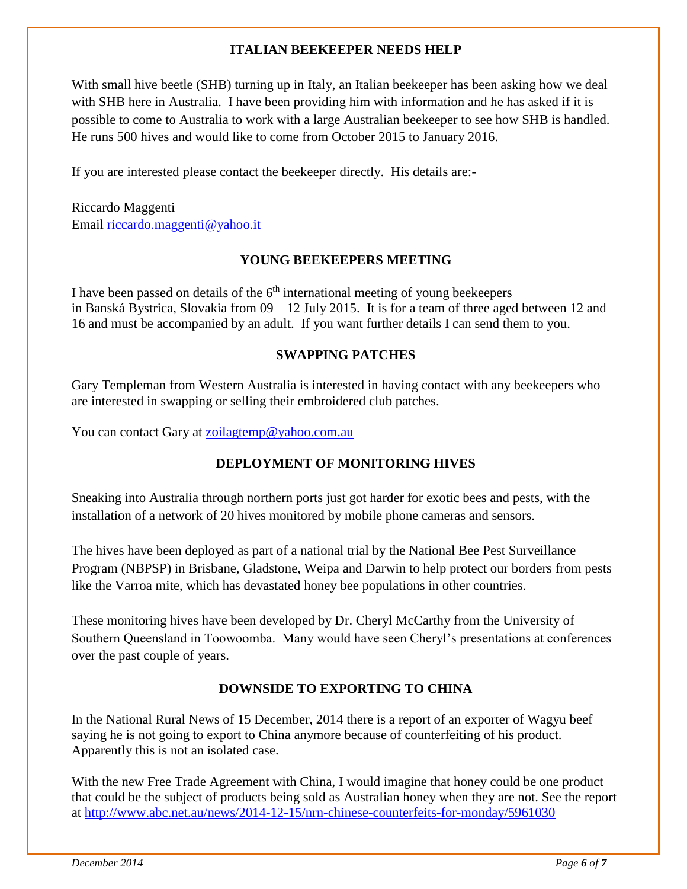# **ITALIAN BEEKEEPER NEEDS HELP**

With small hive beetle (SHB) turning up in Italy, an Italian beekeeper has been asking how we deal with SHB here in Australia. I have been providing him with information and he has asked if it is possible to come to Australia to work with a large Australian beekeeper to see how SHB is handled. He runs 500 hives and would like to come from October 2015 to January 2016.

If you are interested please contact the beekeeper directly. His details are:-

Riccardo Maggenti Email [riccardo.maggenti@yahoo.it](mailto:riccardo.maggenti@yahoo.it)

# **YOUNG BEEKEEPERS MEETING**

I have been passed on details of the 6<sup>th</sup> international meeting of young beekeepers in Banská Bystrica, Slovakia from 09 – 12 July 2015. It is for a team of three aged between 12 and 16 and must be accompanied by an adult. If you want further details I can send them to you.

# **SWAPPING PATCHES**

Gary Templeman from Western Australia is interested in having contact with any beekeepers who are interested in swapping or selling their embroidered club patches.

You can contact Gary at [zoilagtemp@yahoo.com.au](mailto:zoilagtemp@yahoo.com.au)

# **DEPLOYMENT OF MONITORING HIVES**

Sneaking into Australia through northern ports just got harder for exotic bees and pests, with the installation of a network of 20 hives monitored by mobile phone cameras and sensors.

The hives have been deployed as part of a national trial by the National Bee Pest Surveillance Program (NBPSP) in Brisbane, Gladstone, Weipa and Darwin to help protect our borders from pests like the Varroa mite, which has devastated honey bee populations in other countries.

These monitoring hives have been developed by Dr. Cheryl McCarthy from the University of Southern Queensland in Toowoomba. Many would have seen Cheryl's presentations at conferences over the past couple of years.

# **DOWNSIDE TO EXPORTING TO CHINA**

In the National Rural News of 15 December, 2014 there is a report of an exporter of Wagyu beef saying he is not going to export to China anymore because of counterfeiting of his product. Apparently this is not an isolated case.

With the new Free Trade Agreement with China, I would imagine that honey could be one product that could be the subject of products being sold as Australian honey when they are not. See the report at<http://www.abc.net.au/news/2014-12-15/nrn-chinese-counterfeits-for-monday/5961030>